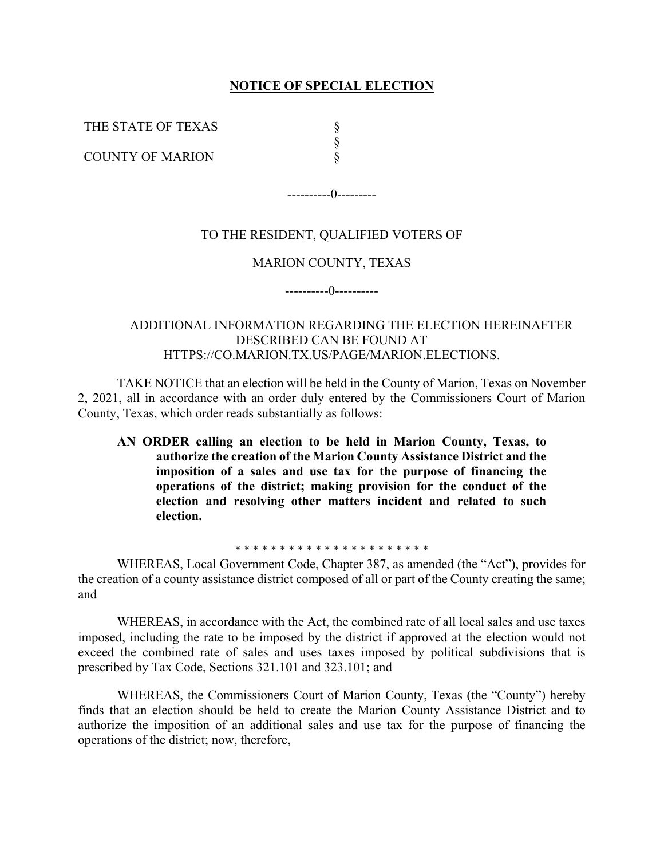## **NOTICE OF SPECIAL ELECTION**

THE STATE OF TEXAS

COUNTY OF MARION

§ § §

----------0---------

# TO THE RESIDENT, QUALIFIED VOTERS OF

## MARION COUNTY, TEXAS

----------0----------

ADDITIONAL INFORMATION REGARDING THE ELECTION HEREINAFTER DESCRIBED CAN BE FOUND AT HTTPS://CO.MARION.TX.US/PAGE/MARION.ELECTIONS.

TAKE NOTICE that an election will be held in the County of Marion, Texas on November 2, 2021, all in accordance with an order duly entered by the Commissioners Court of Marion County, Texas, which order reads substantially as follows:

**AN ORDER calling an election to be held in Marion County, Texas, to authorize the creation of the Marion County Assistance District and the imposition of a sales and use tax for the purpose of financing the operations of the district; making provision for the conduct of the election and resolving other matters incident and related to such election.** 

\* \* \* \* \* \* \* \* \* \* \* \* \* \* \* \* \* \* \* \* \* \*

WHEREAS, Local Government Code, Chapter 387, as amended (the "Act"), provides for the creation of a county assistance district composed of all or part of the County creating the same; and

WHEREAS, in accordance with the Act, the combined rate of all local sales and use taxes imposed, including the rate to be imposed by the district if approved at the election would not exceed the combined rate of sales and uses taxes imposed by political subdivisions that is prescribed by Tax Code, Sections 321.101 and 323.101; and

WHEREAS, the Commissioners Court of Marion County, Texas (the "County") hereby finds that an election should be held to create the Marion County Assistance District and to authorize the imposition of an additional sales and use tax for the purpose of financing the operations of the district; now, therefore,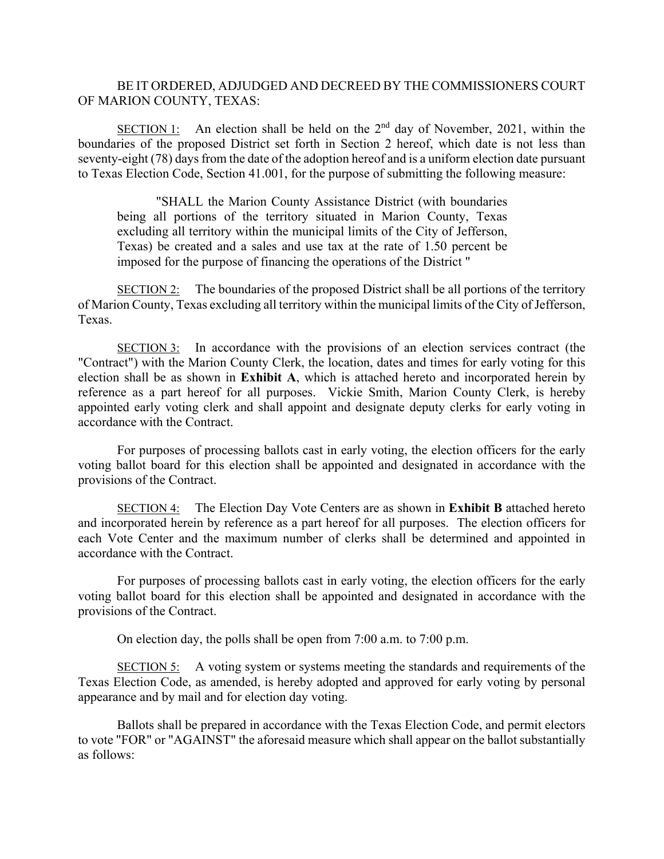## BE IT ORDERED, ADJUDGED AND DECREED BY THE COMMISSIONERS COURT OF MARION COUNTY, TEXAS:

SECTION 1: An election shall be held on the  $2<sup>nd</sup>$  day of November, 2021, within the boundaries of the proposed District set forth in Section 2 hereof, which date is not less than seventy-eight (78) days from the date of the adoption hereof and is a uniform election date pursuant to Texas Election Code, Section 41.001, for the purpose of submitting the following measure:

"SHALL the Marion County Assistance District (with boundaries being all portions of the territory situated in Marion County, Texas excluding all territory within the municipal limits of the City of Jefferson, Texas) be created and a sales and use tax at the rate of 1.50 percent be imposed for the purpose of financing the operations of the District "

 $SECTION 2:$  The boundaries of the proposed District shall be all portions of the territory of Marion County, Texas excluding all territory within the municipal limits of the City of Jefferson, Texas.

SECTION 3: In accordance with the provisions of an election services contract (the "Contract") with the Marion County Clerk, the location, dates and times for early voting for this election shall be as shown in **Exhibit A**, which is attached hereto and incorporated herein by reference as a part hereof for all purposes. Vickie Smith, Marion County Clerk, is hereby appointed early voting clerk and shall appoint and designate deputy clerks for early voting in accordance with the Contract.

For purposes of processing ballots cast in early voting, the election officers for the early voting ballot board for this election shall be appointed and designated in accordance with the provisions of the Contract.

SECTION 4: The Election Day Vote Centers are as shown in **Exhibit B** attached hereto and incorporated herein by reference as a part hereof for all purposes. The election officers for each Vote Center and the maximum number of clerks shall be determined and appointed in accordance with the Contract.

For purposes of processing ballots cast in early voting, the election officers for the early voting ballot board for this election shall be appointed and designated in accordance with the provisions of the Contract.

On election day, the polls shall be open from 7:00 a.m. to 7:00 p.m.

SECTION 5: A voting system or systems meeting the standards and requirements of the Texas Election Code, as amended, is hereby adopted and approved for early voting by personal appearance and by mail and for election day voting.

Ballots shall be prepared in accordance with the Texas Election Code, and permit electors to vote "FOR" or "AGAINST" the aforesaid measure which shall appear on the ballot substantially as follows: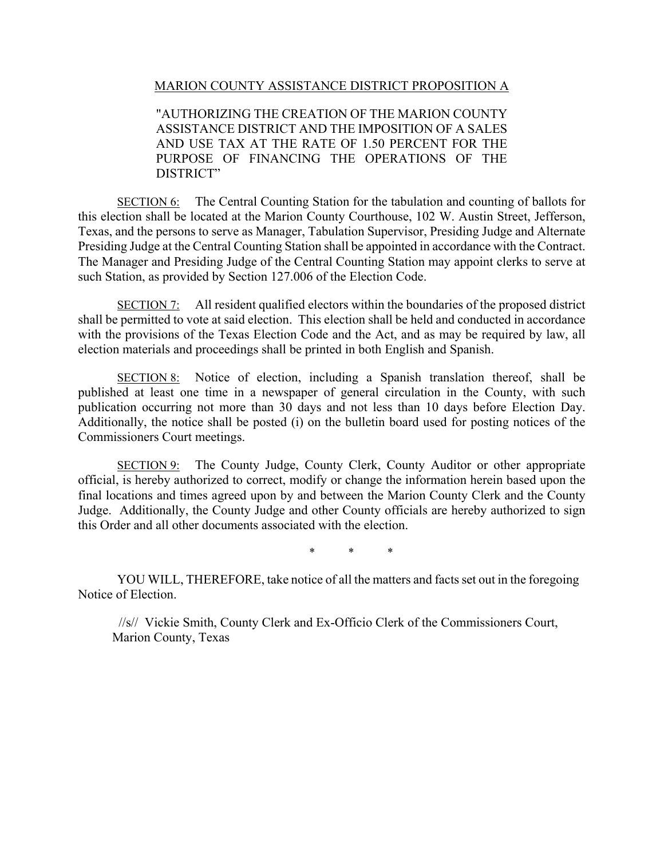MARION COUNTY ASSISTANCE DISTRICT PROPOSITION A

"AUTHORIZING THE CREATION OF THE MARION COUNTY ASSISTANCE DISTRICT AND THE IMPOSITION OF A SALES AND USE TAX AT THE RATE OF 1.50 PERCENT FOR THE PURPOSE OF FINANCING THE OPERATIONS OF THE DISTRICT"

SECTION 6: The Central Counting Station for the tabulation and counting of ballots for this election shall be located at the Marion County Courthouse, 102 W. Austin Street, Jefferson, Texas, and the persons to serve as Manager, Tabulation Supervisor, Presiding Judge and Alternate Presiding Judge at the Central Counting Station shall be appointed in accordance with the Contract. The Manager and Presiding Judge of the Central Counting Station may appoint clerks to serve at such Station, as provided by Section 127.006 of the Election Code.

SECTION 7: All resident qualified electors within the boundaries of the proposed district shall be permitted to vote at said election. This election shall be held and conducted in accordance with the provisions of the Texas Election Code and the Act, and as may be required by law, all election materials and proceedings shall be printed in both English and Spanish.

SECTION 8: Notice of election, including a Spanish translation thereof, shall be published at least one time in a newspaper of general circulation in the County, with such publication occurring not more than 30 days and not less than 10 days before Election Day. Additionally, the notice shall be posted (i) on the bulletin board used for posting notices of the Commissioners Court meetings.

SECTION 9: The County Judge, County Clerk, County Auditor or other appropriate official, is hereby authorized to correct, modify or change the information herein based upon the final locations and times agreed upon by and between the Marion County Clerk and the County Judge. Additionally, the County Judge and other County officials are hereby authorized to sign this Order and all other documents associated with the election.

\* \* \*

YOU WILL, THEREFORE, take notice of all the matters and facts set out in the foregoing Notice of Election.

 //s// Vickie Smith, County Clerk and Ex-Officio Clerk of the Commissioners Court, Marion County, Texas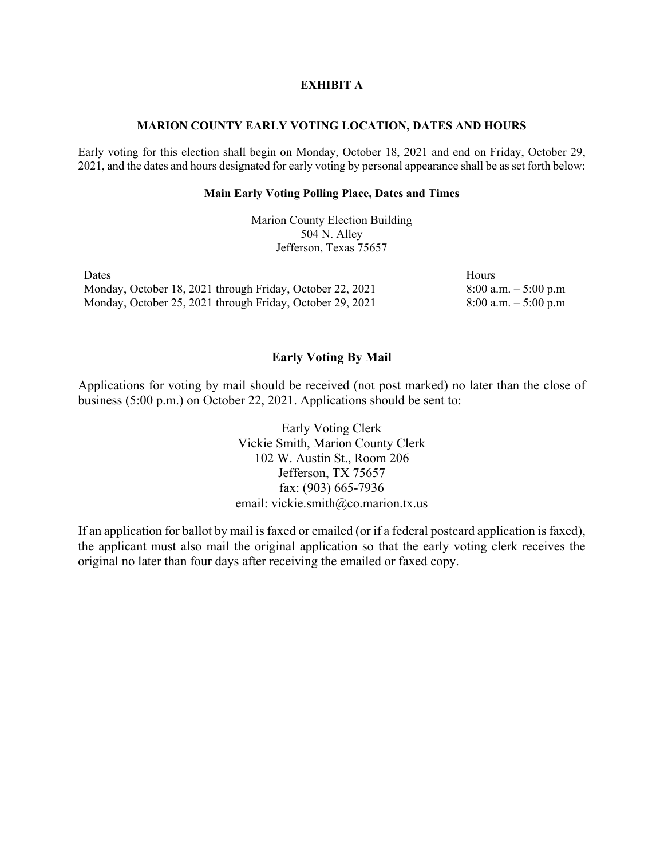### **EXHIBIT A**

#### **MARION COUNTY EARLY VOTING LOCATION, DATES AND HOURS**

Early voting for this election shall begin on Monday, October 18, 2021 and end on Friday, October 29, 2021, and the dates and hours designated for early voting by personal appearance shall be as set forth below:

#### **Main Early Voting Polling Place, Dates and Times**

Marion County Election Building 504 N. Alley Jefferson, Texas 75657

Dates Hours Monday, October 18, 2021 through Friday, October 22, 2021 8:00 a.m. – 5:00 p.m Monday, October 25, 2021 through Friday, October 29, 2021 8:00 a.m. - 5:00 p.m

## **Early Voting By Mail**

Applications for voting by mail should be received (not post marked) no later than the close of business (5:00 p.m.) on October 22, 2021. Applications should be sent to:

> Early Voting Clerk Vickie Smith, Marion County Clerk 102 W. Austin St., Room 206 Jefferson, TX 75657 fax: (903) 665-7936 email: vickie.smith@co.marion.tx.us

If an application for ballot by mail is faxed or emailed (or if a federal postcard application is faxed), the applicant must also mail the original application so that the early voting clerk receives the original no later than four days after receiving the emailed or faxed copy.